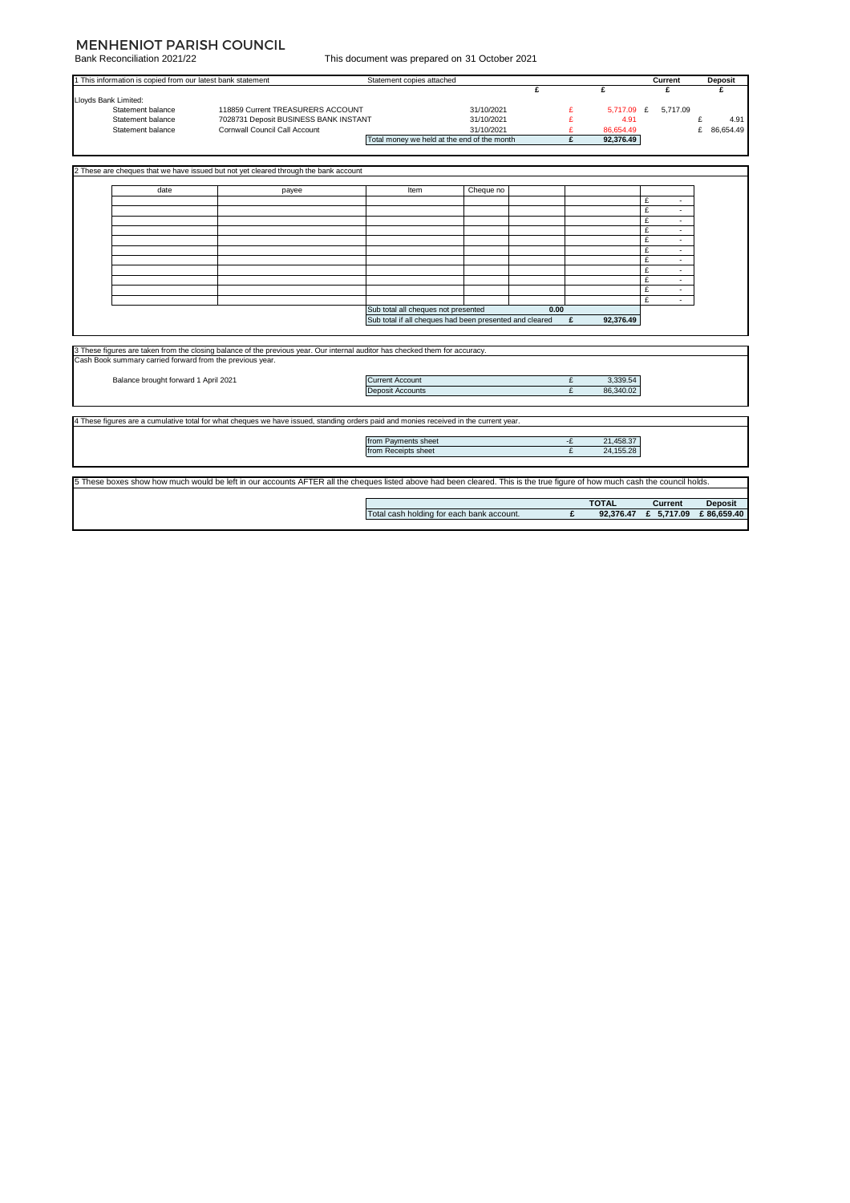## MENHENIOT PARISH COUNCIL

Bank Reconciliation 2021/22

| This document was prepared on 31 October 2021 |  |  |  |
|-----------------------------------------------|--|--|--|
|                                               |  |  |  |

|                                                                                                                                                                            |                                                             |                                                                                                                                       | This document was prepared on ST October 2021           |            |      |    |              |                     |                |
|----------------------------------------------------------------------------------------------------------------------------------------------------------------------------|-------------------------------------------------------------|---------------------------------------------------------------------------------------------------------------------------------------|---------------------------------------------------------|------------|------|----|--------------|---------------------|----------------|
|                                                                                                                                                                            | 1 This information is copied from our latest bank statement |                                                                                                                                       | Statement copies attached                               |            |      |    |              | Current             | Deposit        |
|                                                                                                                                                                            |                                                             |                                                                                                                                       |                                                         |            | £    |    | £            | £                   | ¢              |
| Lloyds Bank Limited:                                                                                                                                                       |                                                             |                                                                                                                                       |                                                         |            |      |    |              |                     |                |
|                                                                                                                                                                            | Statement balance                                           | 118859 Current TREASURERS ACCOUNT                                                                                                     |                                                         | 31/10/2021 |      | £  | 5,717.09 £   | 5.717.09            |                |
|                                                                                                                                                                            | Statement balance                                           | 7028731 Deposit BUSINESS BANK INSTANT                                                                                                 |                                                         | 31/10/2021 |      | £  | 4.91         |                     | £<br>4.91      |
|                                                                                                                                                                            | Statement balance                                           | Cornwall Council Call Account                                                                                                         |                                                         | 31/10/2021 |      | £  | 86,654.49    |                     | £<br>86,654.49 |
|                                                                                                                                                                            |                                                             |                                                                                                                                       | Total money we held at the end of the month             |            |      | £  | 92,376.49    |                     |                |
|                                                                                                                                                                            |                                                             |                                                                                                                                       |                                                         |            |      |    |              |                     |                |
|                                                                                                                                                                            |                                                             |                                                                                                                                       |                                                         |            |      |    |              |                     |                |
|                                                                                                                                                                            |                                                             | These are cheques that we have issued but not yet cleared through the bank account                                                    |                                                         |            |      |    |              |                     |                |
|                                                                                                                                                                            | date                                                        | payee                                                                                                                                 | Item                                                    | Cheque no  |      |    |              |                     |                |
|                                                                                                                                                                            |                                                             |                                                                                                                                       |                                                         |            |      |    |              | £                   |                |
|                                                                                                                                                                            |                                                             |                                                                                                                                       |                                                         |            |      |    |              | £<br>$\blacksquare$ |                |
|                                                                                                                                                                            |                                                             |                                                                                                                                       |                                                         |            |      |    |              | £<br>$\sim$         |                |
|                                                                                                                                                                            |                                                             |                                                                                                                                       |                                                         |            |      |    |              | £<br>$\sim$         |                |
|                                                                                                                                                                            |                                                             |                                                                                                                                       |                                                         |            |      |    |              | £<br>$\sim$         |                |
|                                                                                                                                                                            |                                                             |                                                                                                                                       |                                                         |            |      |    |              | £                   |                |
|                                                                                                                                                                            |                                                             |                                                                                                                                       |                                                         |            |      |    |              | £<br>$\sim$         |                |
|                                                                                                                                                                            |                                                             |                                                                                                                                       |                                                         |            |      |    |              | £                   |                |
|                                                                                                                                                                            |                                                             |                                                                                                                                       |                                                         |            |      |    |              | £<br>$\sim$         |                |
|                                                                                                                                                                            |                                                             |                                                                                                                                       |                                                         |            |      |    |              | £<br>$\sim$         |                |
|                                                                                                                                                                            |                                                             |                                                                                                                                       |                                                         |            |      |    |              | £<br>×.             |                |
|                                                                                                                                                                            |                                                             |                                                                                                                                       | Sub total all cheques not presented                     |            | 0.00 |    |              |                     |                |
|                                                                                                                                                                            |                                                             |                                                                                                                                       | Sub total if all cheques had been presented and cleared |            |      | £  | 92,376.49    |                     |                |
|                                                                                                                                                                            |                                                             |                                                                                                                                       |                                                         |            |      |    |              |                     |                |
|                                                                                                                                                                            |                                                             |                                                                                                                                       |                                                         |            |      |    |              |                     |                |
|                                                                                                                                                                            |                                                             | 3 These figures are taken from the closing balance of the previous year. Our internal auditor has checked them for accuracy.          |                                                         |            |      |    |              |                     |                |
|                                                                                                                                                                            | Cash Book summary carried forward from the previous year.   |                                                                                                                                       |                                                         |            |      |    |              |                     |                |
|                                                                                                                                                                            |                                                             |                                                                                                                                       |                                                         |            |      |    |              |                     |                |
|                                                                                                                                                                            | Balance brought forward 1 April 2021                        |                                                                                                                                       | <b>Current Account</b>                                  |            |      | £  | 3,339.54     |                     |                |
|                                                                                                                                                                            |                                                             |                                                                                                                                       | <b>Deposit Accounts</b>                                 |            |      | £  | 86.340.02    |                     |                |
|                                                                                                                                                                            |                                                             |                                                                                                                                       |                                                         |            |      |    |              |                     |                |
|                                                                                                                                                                            |                                                             |                                                                                                                                       |                                                         |            |      |    |              |                     |                |
|                                                                                                                                                                            |                                                             | 4 These figures are a cumulative total for what cheques we have issued, standing orders paid and monies received in the current year. |                                                         |            |      |    |              |                     |                |
|                                                                                                                                                                            |                                                             |                                                                                                                                       |                                                         |            |      |    |              |                     |                |
|                                                                                                                                                                            |                                                             |                                                                                                                                       | from Payments sheet                                     |            |      | -£ | 21,458.37    |                     |                |
|                                                                                                                                                                            |                                                             |                                                                                                                                       | from Receipts sheet                                     |            |      | £  | 24, 155. 28  |                     |                |
|                                                                                                                                                                            |                                                             |                                                                                                                                       |                                                         |            |      |    |              |                     |                |
|                                                                                                                                                                            |                                                             |                                                                                                                                       |                                                         |            |      |    |              |                     |                |
| 5 These boxes show how much would be left in our accounts AFTER all the cheques listed above had been cleared. This is the true figure of how much cash the council holds. |                                                             |                                                                                                                                       |                                                         |            |      |    |              |                     |                |
|                                                                                                                                                                            |                                                             |                                                                                                                                       |                                                         |            |      |    |              |                     |                |
|                                                                                                                                                                            |                                                             |                                                                                                                                       |                                                         |            |      |    | <b>TOTAL</b> | Current             | Deposit        |
|                                                                                                                                                                            |                                                             |                                                                                                                                       | Total cash holding for each bank account.               |            |      | £  | 92,376.47    | £ 5,717.09          | £86,659.40     |
|                                                                                                                                                                            |                                                             |                                                                                                                                       |                                                         |            |      |    |              |                     |                |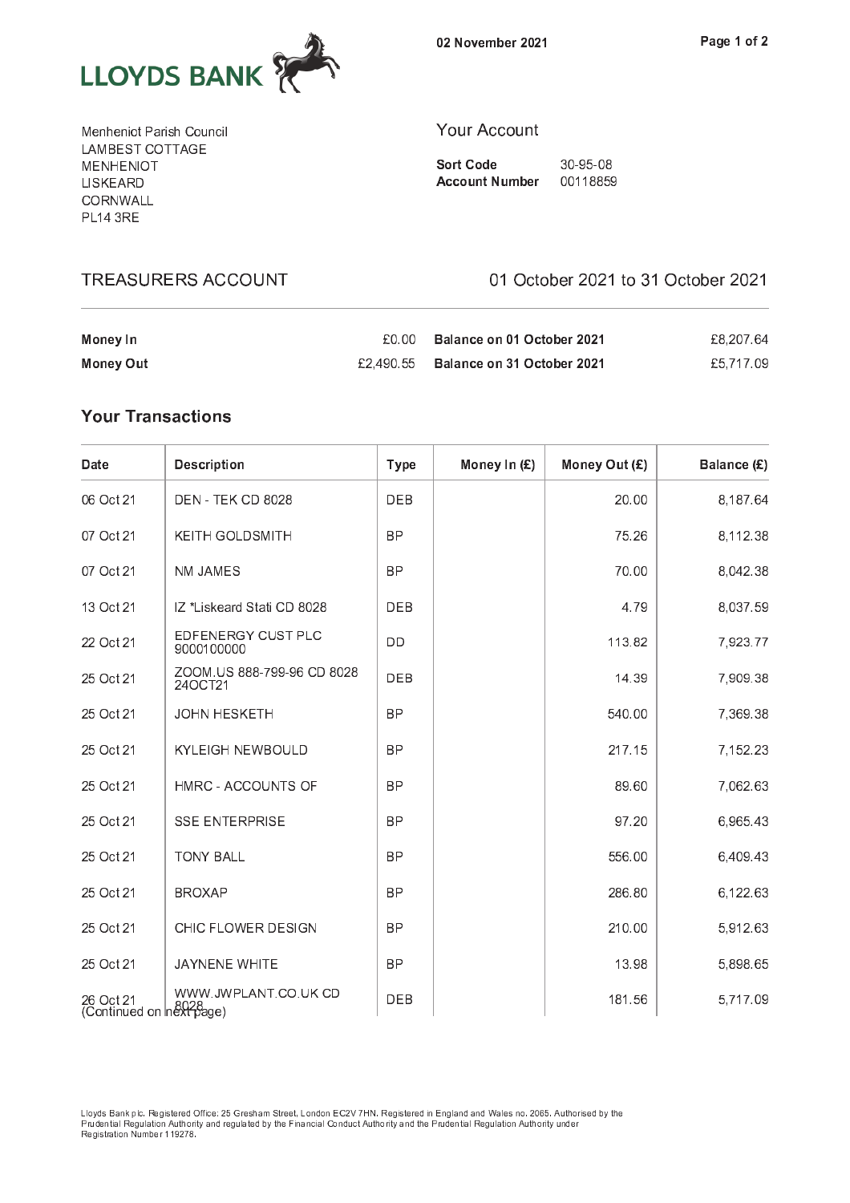

02 November 2021

Menheniot Parish Council LAMBEST COTTAGE **MENHENIOT** LISKEARD CORNWALL **PL14 3RE** 

**TREASURERS ACCOUNT** 

## **Your Account**

**Sort Code** 30-95-08 **Account Number** 00118859

01 October 2021 to 31 October 2021

| Money In  | £0.00. | Balance on 01 October 2021           | £8,207.64 |
|-----------|--------|--------------------------------------|-----------|
| Money Out |        | £2.490.55 Balance on 31 October 2021 | £5.717.09 |

## **Your Transactions**

| Date                                 | <b>Description</b>                    | <b>Type</b> | Money In (£) | Money Out (£) | Balance (£) |
|--------------------------------------|---------------------------------------|-------------|--------------|---------------|-------------|
| 06 Oct 21                            | DEN - TEK CD 8028                     | <b>DEB</b>  |              | 20.00         | 8,187.64    |
| 07 Oct 21                            | <b>KEITH GOLDSMITH</b>                | <b>BP</b>   |              | 75.26         | 8,112.38    |
| 07 Oct 21                            | NM JAMES                              | <b>BP</b>   |              | 70.00         | 8,042.38    |
| 13 Oct 21                            | IZ *Liskeard Stati CD 8028            | DEB         |              | 4.79          | 8,037.59    |
| 22 Oct 21                            | EDFENERGY CUST PLC<br>9000100000      | DD          |              | 113.82        | 7,923.77    |
| 25 Oct 21                            | ZOOM.US 888-799-96 CD 8028<br>24OCT21 | DEB         |              | 14.39         | 7,909.38    |
| 25 Oct 21                            | <b>JOHN HESKETH</b>                   | <b>BP</b>   |              | 540.00        | 7,369.38    |
| 25 Oct 21                            | <b>KYLEIGH NEWBOULD</b>               | <b>BP</b>   |              | 217.15        | 7,152.23    |
| 25 Oct 21                            | HMRC - ACCOUNTS OF                    | <b>BP</b>   |              | 89.60         | 7,062.63    |
| 25 Oct 21                            | <b>SSE ENTERPRISE</b>                 | <b>BP</b>   |              | 97.20         | 6,965.43    |
| 25 Oct 21                            | <b>TONY BALL</b>                      | <b>BP</b>   |              | 556.00        | 6,409.43    |
| 25 Oct 21                            | <b>BROXAP</b>                         | <b>BP</b>   |              | 286.80        | 6,122.63    |
| 25 Oct 21                            | CHIC FLOWER DESIGN                    | <b>BP</b>   |              | 210.00        | 5,912.63    |
| 25 Oct 21                            | <b>JAYNENE WHITE</b>                  | <b>BP</b>   |              | 13.98         | 5,898.65    |
| 26 Oct 21<br>Continued on next page) | WWW.JWPLANT.CO.UK CD                  | DEB         |              | 181.56        | 5,717.09    |

Lloyds Bank plc. Registered Office: 25 Gresham Street, London EC2V 7HN. Registered in England and Wales no. 2065. Authorised by the<br>Prudential Regulation Authority and regulated by the Financial Conduct Authority and the P Registration Number 119278.